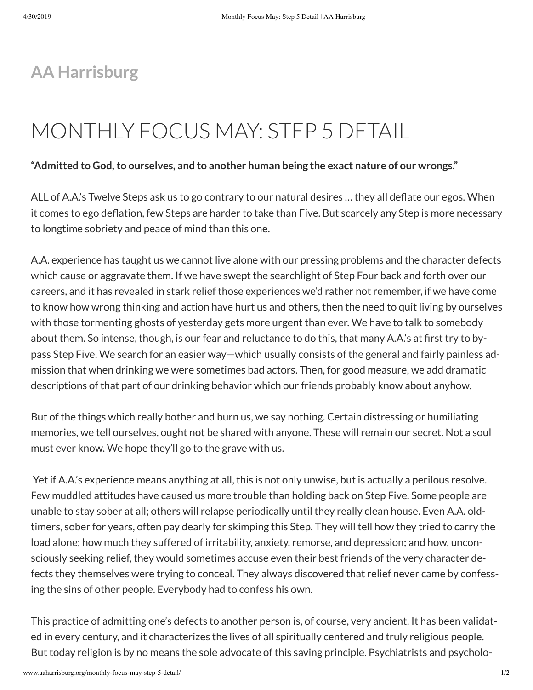## **AA [Harrisburg](http://www.aaharrisburg.org/)**

# MONTHLY FOCUS MAY: STEP 5 DETAIL

### **"Admitted to God,to ourselves, and to another human being the exact nature of our wrongs."**

ALL of A.A.'s Twelve Steps ask us to go contrary to our natural desires ... they all deflate our egos. When it comes to ego deflation, few Steps are harder to take than Five. But scarcely any Step is more necessary to longtime sobriety and peace of mind than this one.

A.A. experience has taught us we cannot live alone with our pressing problems and the character defects which cause or aggravate them. If we have swept the searchlight of Step Four back and forth over our careers, and it has revealed in stark relief those experiences we'd rather not remember, if we have come to know how wrong thinking and action have hurt us and others, then the need to quit living by ourselves with those tormenting ghosts of yesterday gets more urgent than ever. We have to talk to somebody about them. So intense, though, is our fear and reluctance to do this, that many A.A.'s at first try to bypass Step Five. We search for an easier way—which usually consists of the general and fairly painless admission that when drinking we were sometimes bad actors. Then, for good measure, we add dramatic descriptions of that part of our drinking behavior which our friends probably know about anyhow.

But of the things which really bother and burn us, we say nothing. Certain distressing or humiliating memories, we tell ourselves, ought not be shared with anyone. These will remain our secret. Not a soul must ever know. We hope they'll go to the grave with us.

Yet if A.A.'s experience means anything at all, this is not only unwise, but is actually a perilous resolve. Few muddled attitudes have caused us more trouble than holding back on Step Five. Some people are unable to stay sober at all; others will relapse periodically until they really clean house. Even A.A. oldtimers, sober for years, often pay dearly for skimping this Step. They will tell how they tried to carry the load alone; how much they suffered of irritability, anxiety, remorse, and depression; and how, unconsciously seeking relief, they would sometimes accuse even their best friends of the very character defects they themselves were trying to conceal. They always discovered that relief never came by confessing the sins of other people. Everybody had to confess his own.

This practice of admitting one's defects to another person is, of course, very ancient. It has been validated in every century, and it characterizes the lives of all spiritually centered and truly religious people. But today religion is by no means the sole advocate of this saving principle. Psychiatrists and psycholo-